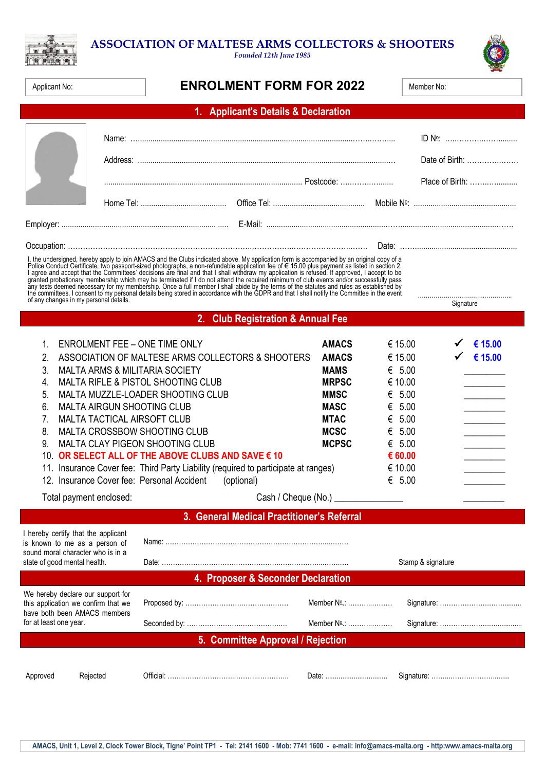## **ASSOCIATION OF MALTESE ARMS COLLECTORS & SHOOTERS**

*Founded 12th June 1985*



ò

## **Applicant No: ENROLMENT FORM FOR 2022**

| lember No: |  |
|------------|--|
|            |  |

|                                                                                                                                                                                                                                                                                                                                                                                                                         |                                                                                                                                                                | 1. Applicant's Details & Declaration                                                                                                                                                                                                                                                                                                                                                                                                                                                                                                                                                                                             |                                                                                                                                                                                |                                                                                                                                         |                                   |                                                 |
|-------------------------------------------------------------------------------------------------------------------------------------------------------------------------------------------------------------------------------------------------------------------------------------------------------------------------------------------------------------------------------------------------------------------------|----------------------------------------------------------------------------------------------------------------------------------------------------------------|----------------------------------------------------------------------------------------------------------------------------------------------------------------------------------------------------------------------------------------------------------------------------------------------------------------------------------------------------------------------------------------------------------------------------------------------------------------------------------------------------------------------------------------------------------------------------------------------------------------------------------|--------------------------------------------------------------------------------------------------------------------------------------------------------------------------------|-----------------------------------------------------------------------------------------------------------------------------------------|-----------------------------------|-------------------------------------------------|
|                                                                                                                                                                                                                                                                                                                                                                                                                         |                                                                                                                                                                |                                                                                                                                                                                                                                                                                                                                                                                                                                                                                                                                                                                                                                  |                                                                                                                                                                                |                                                                                                                                         | Date of Birth:<br>Place of Birth: |                                                 |
|                                                                                                                                                                                                                                                                                                                                                                                                                         |                                                                                                                                                                |                                                                                                                                                                                                                                                                                                                                                                                                                                                                                                                                                                                                                                  |                                                                                                                                                                                |                                                                                                                                         |                                   |                                                 |
|                                                                                                                                                                                                                                                                                                                                                                                                                         |                                                                                                                                                                |                                                                                                                                                                                                                                                                                                                                                                                                                                                                                                                                                                                                                                  |                                                                                                                                                                                |                                                                                                                                         |                                   |                                                 |
| I, the undersigned, hereby apply to join AMACS and the Clubs indicated above. My application form is accompanied by an original copy of a<br>From a music conduct Certificate, two passport-sized photographs, a non-refundable application from is accounted to the Subsequent as listed in section 2.<br>I agree and accept that the Committees' decisions are final and th<br>of any changes in my personal details. |                                                                                                                                                                |                                                                                                                                                                                                                                                                                                                                                                                                                                                                                                                                                                                                                                  |                                                                                                                                                                                |                                                                                                                                         |                                   |                                                 |
|                                                                                                                                                                                                                                                                                                                                                                                                                         |                                                                                                                                                                | 2. Club Registration & Annual Fee                                                                                                                                                                                                                                                                                                                                                                                                                                                                                                                                                                                                |                                                                                                                                                                                |                                                                                                                                         | Signature                         |                                                 |
| 1.<br>2.<br>3.<br>4.<br>5.<br>6.<br>7.<br>8.<br>9.<br>Total payment enclosed:                                                                                                                                                                                                                                                                                                                                           |                                                                                                                                                                | <b>ENROLMENT FEE - ONE TIME ONLY</b><br>ASSOCIATION OF MALTESE ARMS COLLECTORS & SHOOTERS<br><b>MALTA ARMS &amp; MILITARIA SOCIETY</b><br><b>MALTA RIFLE &amp; PISTOL SHOOTING CLUB</b><br>MALTA MUZZLE-LOADER SHOOTING CLUB<br><b>MALTA AIRGUN SHOOTING CLUB</b><br><b>MALTA TACTICAL AIRSOFT CLUB</b><br>MALTA CROSSBOW SHOOTING CLUB<br>MALTA CLAY PIGEON SHOOTING CLUB<br>10. OR SELECT ALL OF THE ABOVE CLUBS AND SAVE € 10<br>11. Insurance Cover fee: Third Party Liability (required to participate at ranges)<br>12. Insurance Cover fee: Personal Accident<br>(optional)<br>3. General Medical Practitioner's Referral | <b>AMACS</b><br><b>AMACS</b><br><b>MAMS</b><br><b>MRPSC</b><br><b>MMSC</b><br><b>MASC</b><br><b>MTAC</b><br><b>MCSC</b><br><b>MCPSC</b><br>Cash / Cheque (No.) _______________ | € 15.00<br>€ 15.00<br>€ $5.00$<br>€ 10.00<br>€ $5.00$<br>€ $5.00$<br>€ $5.00$<br>€ $5.00$<br>€ $5.00$<br>€ 60.00<br>€ 10.00<br>€ $5.00$ |                                   | € 15.00<br>€ 15.00<br><u> 1989 - Andrea Sta</u> |
|                                                                                                                                                                                                                                                                                                                                                                                                                         | I hereby certify that the applicant<br>is known to me as a person of<br>sound moral character who is in a<br>state of good mental health.<br>Stamp & signature |                                                                                                                                                                                                                                                                                                                                                                                                                                                                                                                                                                                                                                  |                                                                                                                                                                                |                                                                                                                                         |                                   |                                                 |
|                                                                                                                                                                                                                                                                                                                                                                                                                         |                                                                                                                                                                | 4. Proposer & Seconder Declaration                                                                                                                                                                                                                                                                                                                                                                                                                                                                                                                                                                                               |                                                                                                                                                                                |                                                                                                                                         |                                   |                                                 |
| We hereby declare our support for<br>this application we confirm that we<br>have both been AMACS members<br>for at least one year.                                                                                                                                                                                                                                                                                      |                                                                                                                                                                |                                                                                                                                                                                                                                                                                                                                                                                                                                                                                                                                                                                                                                  | Member No.:<br>Member No.:                                                                                                                                                     |                                                                                                                                         |                                   |                                                 |
| 5. Committee Approval / Rejection                                                                                                                                                                                                                                                                                                                                                                                       |                                                                                                                                                                |                                                                                                                                                                                                                                                                                                                                                                                                                                                                                                                                                                                                                                  |                                                                                                                                                                                |                                                                                                                                         |                                   |                                                 |
| Approved                                                                                                                                                                                                                                                                                                                                                                                                                | Rejected                                                                                                                                                       |                                                                                                                                                                                                                                                                                                                                                                                                                                                                                                                                                                                                                                  | Date:                                                                                                                                                                          |                                                                                                                                         |                                   |                                                 |